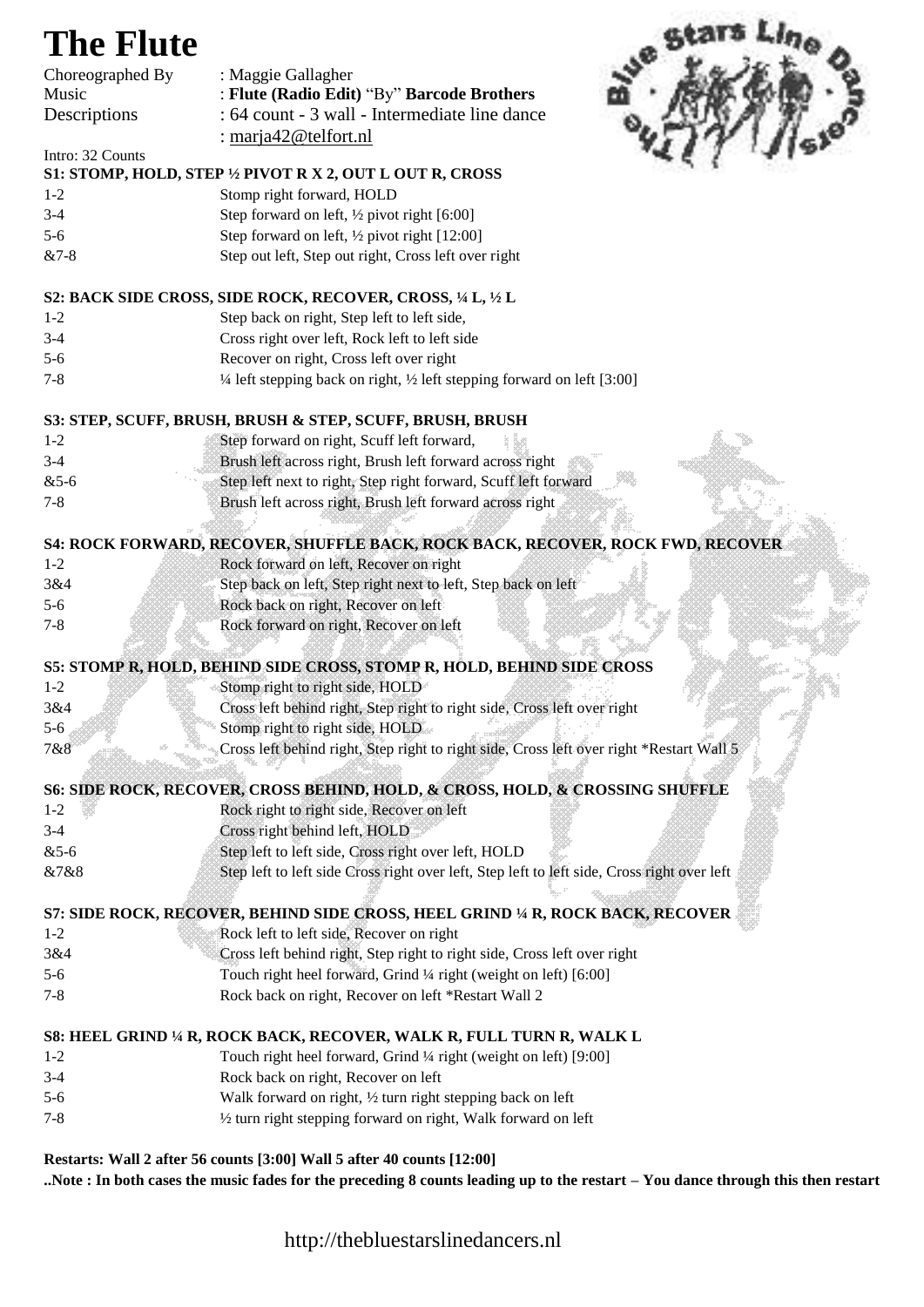## **The Flute**



**..Note : In both cases the music fades for the preceding 8 counts leading up to the restart – You dance through this then restart**